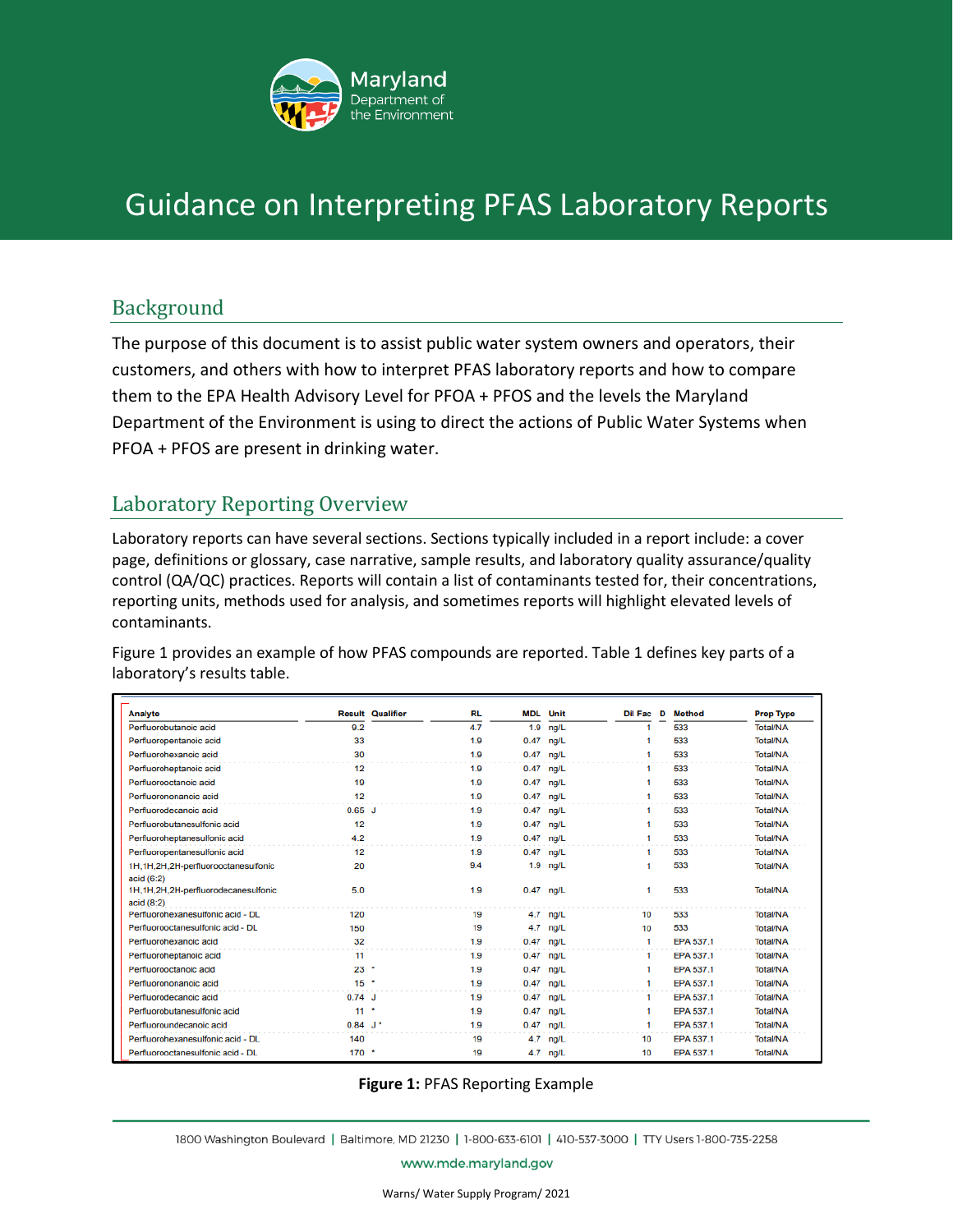

# Guidance on Interpreting PFAS Laboratory Reports

### Background

The purpose of this document is to assist public water system owners and operators, their customers, and others with how to interpret PFAS laboratory reports and how to compare them to the EPA Health Advisory Level for PFOA + PFOS and the levels the Maryland Department of the Environment is using to direct the actions of Public Water Systems when PFOA + PFOS are present in drinking water.

### Laboratory Reporting Overview

Laboratory reports can have several sections. Sections typically included in a report include: a cover page, definitions or glossary, case narrative, sample results, and laboratory quality assurance/quality control (QA/QC) practices. Reports will contain a list of contaminants tested for, their concentrations, reporting units, methods used for analysis, and sometimes reports will highlight elevated levels of contaminants.

Figure 1 provides an example of how PFAS compounds are reported. Table 1 defines key parts of a laboratory's results table.

| <b>Analyte</b>                                                    |                    | <b>Result Qualifier</b> | <b>RL</b> | <b>MDL</b> Unit |             | <b>Dil Fac D Method</b> |           | <b>Prep Type</b> |
|-------------------------------------------------------------------|--------------------|-------------------------|-----------|-----------------|-------------|-------------------------|-----------|------------------|
| Perfluorobutanoic acid                                            | 9.2                |                         | 4.7       |                 | $1.9$ ng/L  |                         | 533       | <b>Total/NA</b>  |
| Perfluoropentanoic acid                                           | 33                 |                         | 1.9       | $0.47$ ng/L     |             | 1                       | 533       | <b>Total/NA</b>  |
| Perfluorohexanoic acid                                            | 30                 |                         | 1.9       | $0.47$ ng/L     |             |                         | 533       | <b>Total/NA</b>  |
| Perfluoroheptanoic acid                                           | 12                 |                         | 1.9       | $0.47$ ng/L     |             | 1                       | 533       | <b>Total/NA</b>  |
| Perfluorooctanoic acid                                            | 19                 |                         | 1.9       | $0.47$ ng/L     |             | 1                       | 533       | <b>Total/NA</b>  |
| Perfluorononanoic acid                                            | 12                 |                         | 1.9       | $0.47$ ng/L     |             | 1                       | 533       | <b>Total/NA</b>  |
| Perfluorodecanoic acid                                            | $0.65$ J           |                         | 1.9       | $0.47$ ng/L     |             | 1.                      | 533       | <b>Total/NA</b>  |
| Perfluorobutanesulfonic acid                                      | 12                 |                         | 1.9       | $0.47$ ng/L     |             | 1                       | 533       | <b>Total/NA</b>  |
| Perfluoroheptanesulfonic acid                                     | 4.2                |                         | 1.9       | $0.47$ ng/L     |             | 1                       | 533       | <b>Total/NA</b>  |
| Perfluoropentanesulfonic acid                                     | 12                 |                         | 1.9       |                 | $0.47$ ng/L | 1.                      | 533       | <b>Total/NA</b>  |
| 1H.1H.2H.2H-perfluorooctanesulfonic                               | 20                 |                         | 9.4       |                 | $1.9$ ng/L  | 1                       | 533       | <b>Total/NA</b>  |
| acid $(6:2)$<br>1H,1H,2H,2H-perfluorodecanesulfonic<br>acid (8:2) | 5.0                |                         | 1.9       |                 | $0.47$ ng/L | 1                       | 533       | <b>Total/NA</b>  |
| Perfluorohexanesulfonic acid - DL                                 | 120                |                         | 19        |                 | $4.7$ ng/L  | 10                      | 533       | <b>Total/NA</b>  |
| Perfluorooctanesulfonic acid - DL                                 | 150                |                         | 19        |                 | $4.7$ ng/L  | 10                      | 533       | <b>Total/NA</b>  |
| Perfluorohexanoic acid                                            | 32                 |                         | 1.9       | $0.47$ ng/L     |             | 1                       | EPA 537.1 | <b>Total/NA</b>  |
| Perfluoroheptanoic acid                                           | 11                 |                         | 1.9       | $0.47$ ng/L     |             | 1                       | EPA 537.1 | <b>Total/NA</b>  |
| Perfluorooctanoic acid                                            | $23$ $\cdot$       |                         | 1.9       | $0.47$ ng/L     |             | 1                       | EPA 537.1 | <b>Total/NA</b>  |
| Perfluorononanoic acid                                            | $15$ $\cdot$       |                         | 1.9       | $0.47$ ng/L     |             | 1                       | EPA 537.1 | <b>Total/NA</b>  |
| Perfluorodecanoic acid                                            | $0.74$ J           |                         | 1.9       | $0.47$ ng/L     |             | 1                       | EPA 537.1 | <b>Total/NA</b>  |
| Perfluorobutanesulfonic acid                                      | 11                 | $\bullet$               | 1.9       |                 | $0.47$ ng/L | 1                       | EPA 537.1 | <b>Total/NA</b>  |
| Perfluoroundecanoic acid                                          | $0.84 \text{ J}^+$ |                         | 1.9       | $0.47$ ng/L     |             | 1                       | EPA 537.1 | <b>Total/NA</b>  |
| Perfluorohexanesulfonic acid - DL                                 | 140                |                         | 19        |                 | 4.7 ng/L    | 10                      | EPA 537.1 | <b>Total/NA</b>  |
| Perfluorooctanesulfonic acid - DL                                 | $170$ $\cdot$      |                         | 19        |                 | 4.7 ng/L    | 10                      | EPA 537.1 | <b>Total/NA</b>  |

#### **Figure 1:** PFAS Reporting Example

1800 Washington Boulevard | Baltimore, MD 21230 | 1-800-633-6101 | 410-537-3000 | TTY Users 1-800-735-2258

www.mde.maryland.gov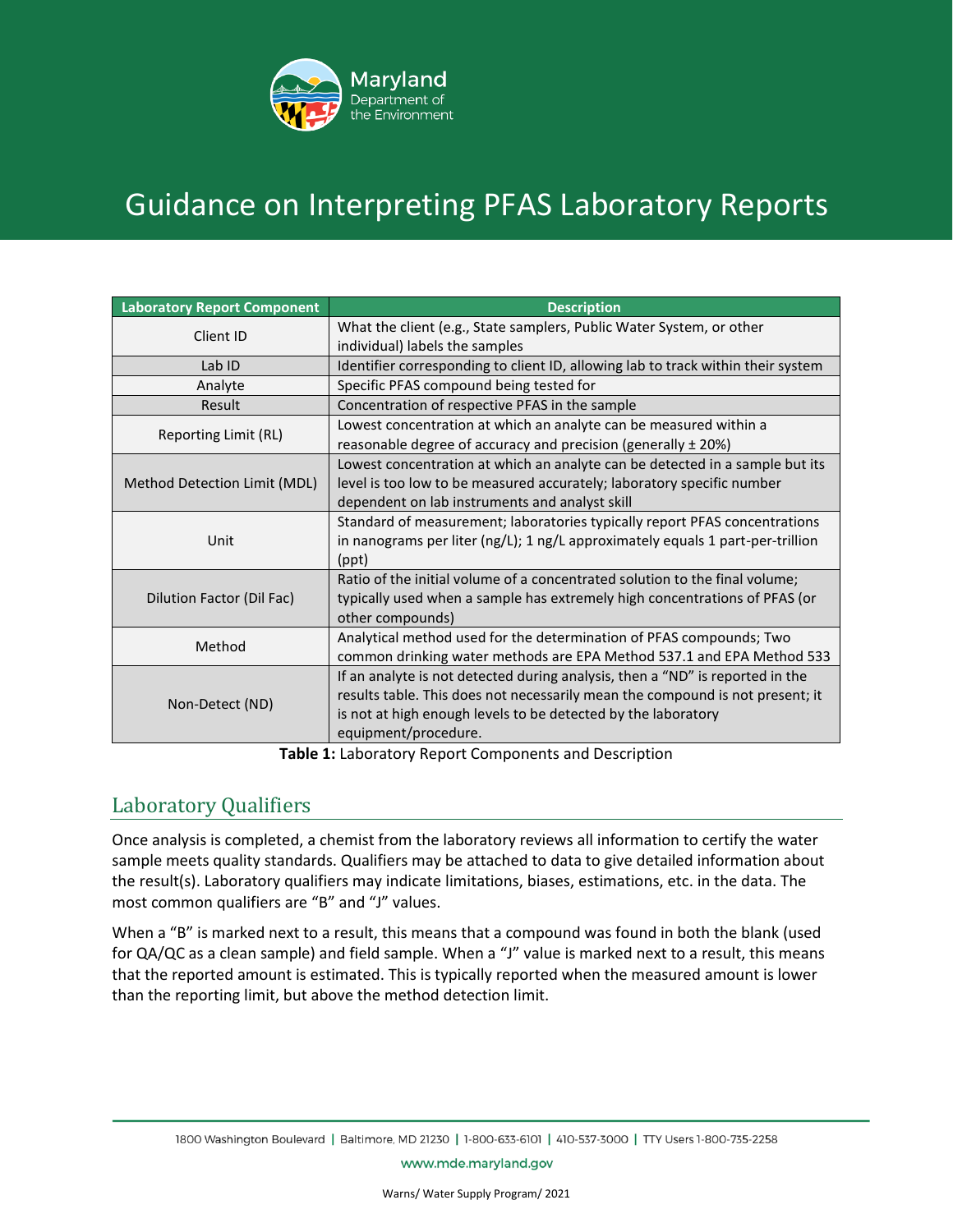

# Guidance on Interpreting PFAS Laboratory Reports

| <b>Laboratory Report Component</b> | <b>Description</b>                                                                                                                                                                                                                                      |  |  |  |  |
|------------------------------------|---------------------------------------------------------------------------------------------------------------------------------------------------------------------------------------------------------------------------------------------------------|--|--|--|--|
| Client ID                          | What the client (e.g., State samplers, Public Water System, or other<br>individual) labels the samples                                                                                                                                                  |  |  |  |  |
| Lab ID                             | Identifier corresponding to client ID, allowing lab to track within their system                                                                                                                                                                        |  |  |  |  |
| Analyte                            | Specific PFAS compound being tested for                                                                                                                                                                                                                 |  |  |  |  |
| Result                             | Concentration of respective PFAS in the sample                                                                                                                                                                                                          |  |  |  |  |
| Reporting Limit (RL)               | Lowest concentration at which an analyte can be measured within a<br>reasonable degree of accuracy and precision (generally ± 20%)                                                                                                                      |  |  |  |  |
| Method Detection Limit (MDL)       | Lowest concentration at which an analyte can be detected in a sample but its<br>level is too low to be measured accurately; laboratory specific number<br>dependent on lab instruments and analyst skill                                                |  |  |  |  |
| Unit                               | Standard of measurement; laboratories typically report PFAS concentrations<br>in nanograms per liter (ng/L); 1 ng/L approximately equals 1 part-per-trillion<br>(ppt)                                                                                   |  |  |  |  |
| Dilution Factor (Dil Fac)          | Ratio of the initial volume of a concentrated solution to the final volume;<br>typically used when a sample has extremely high concentrations of PFAS (or<br>other compounds)                                                                           |  |  |  |  |
| Method                             | Analytical method used for the determination of PFAS compounds; Two<br>common drinking water methods are EPA Method 537.1 and EPA Method 533                                                                                                            |  |  |  |  |
| Non-Detect (ND)                    | If an analyte is not detected during analysis, then a "ND" is reported in the<br>results table. This does not necessarily mean the compound is not present; it<br>is not at high enough levels to be detected by the laboratory<br>equipment/procedure. |  |  |  |  |

**Table 1:** Laboratory Report Components and Description

## Laboratory Qualifiers

Once analysis is completed, a chemist from the laboratory reviews all information to certify the water sample meets quality standards. Qualifiers may be attached to data to give detailed information about the result(s). Laboratory qualifiers may indicate limitations, biases, estimations, etc. in the data. The most common qualifiers are "B" and "J" values.

When a "B" is marked next to a result, this means that a compound was found in both the blank (used for QA/QC as a clean sample) and field sample. When a "J" value is marked next to a result, this means that the reported amount is estimated. This is typically reported when the measured amount is lower than the reporting limit, but above the method detection limit.

www.mde.maryland.gov